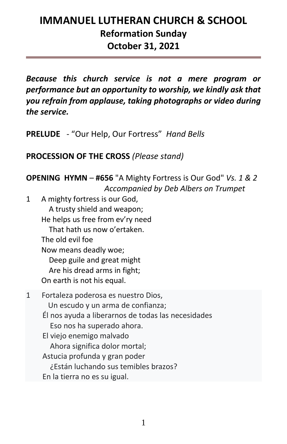# **IMMANUEL LUTHERAN CHURCH & SCHOOL Reformation Sunday October 31, 2021**

*Because this church service is not a mere program or performance but an opportunity to worship, we kindly ask that you refrain from applause, taking photographs or video during the service.* 

**PRELUDE** - "Our Help, Our Fortress" *Hand Bells*

**PROCESSION OF THE CROSS** *(Please stand)*

**OPENING HYMN** – **#656** "A Mighty Fortress is Our God" *Vs. 1 & 2 Accompanied by Deb Albers on Trumpet*

1 A mighty fortress is our God, A trusty shield and weapon; He helps us free from ev'ry need That hath us now o'ertaken. The old evil foe Now means deadly woe; Deep guile and great might Are his dread arms in fight; On earth is not his equal. 1 Fortaleza poderosa es nuestro Dios, Un escudo y un arma de confianza; Él nos ayuda a liberarnos de todas las necesidades Eso nos ha superado ahora. El viejo enemigo malvado Ahora significa dolor mortal; Astucia profunda y gran poder ¿Están luchando sus temibles brazos? En la tierra no es su igual.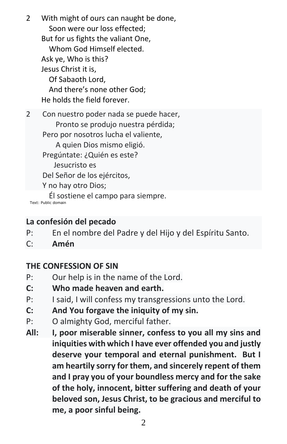2 With might of ours can naught be done, Soon were our loss effected; But for us fights the valiant One, Whom God Himself elected. Ask ye, Who is this? Jesus Christ it is, Of Sabaoth Lord, And there's none other God; He holds the field forever.

2 Con nuestro poder nada se puede hacer, Pronto se produjo nuestra pérdida; Pero por nosotros lucha el valiente, A quien Dios mismo eligió. Pregúntate: ¿Quién es este? Jesucristo es Del Señor de los ejércitos, Y no hay otro Dios; Él sostiene el campo para siempre.

Text: Public domain

### **La confesión del pecado**

- P: En el nombre del Padre y del Hijo y del Espíritu Santo.
- C: **Amén**

## **THE CONFESSION OF SIN**

- P: Our help is in the name of the Lord.
- **C: Who made heaven and earth.**
- P: I said, I will confess my transgressions unto the Lord.
- **C: And You forgave the iniquity of my sin.**
- P: O almighty God, merciful father.
- **All: I, poor miserable sinner, confess to you all my sins and iniquities with which I have ever offended you and justly deserve your temporal and eternal punishment. But I am heartily sorry for them, and sincerely repent of them and I pray you of your boundless mercy and for the sake of the holy, innocent, bitter suffering and death of your beloved son, Jesus Christ, to be gracious and merciful to me, a poor sinful being.**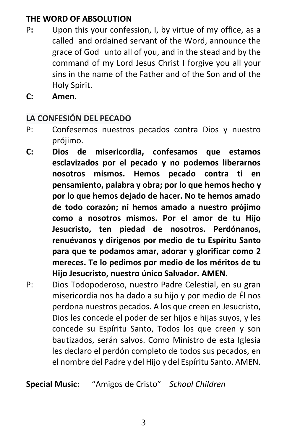# **THE WORD OF ABSOLUTION**

- P**:** Upon this your confession, I, by virtue of my office, as a called and ordained servant of the Word, announce the grace of God unto all of you, and in the stead and by the command of my Lord Jesus Christ I forgive you all your sins in the name of the Father and of the Son and of the Holy Spirit.
- **C: Amen.**

## **LA CONFESIÓN DEL PECADO**

- P: Confesemos nuestros pecados contra Dios y nuestro prójimo.
- **C: Dios de misericordia, confesamos que estamos esclavizados por el pecado y no podemos liberarnos nosotros mismos. Hemos pecado contra ti en pensamiento, palabra y obra; por lo que hemos hecho y por lo que hemos dejado de hacer. No te hemos amado de todo corazón; ni hemos amado a nuestro prójimo como a nosotros mismos. Por el amor de tu Hijo Jesucristo, ten piedad de nosotros. Perdónanos, renuévanos y dirígenos por medio de tu Espíritu Santo para que te podamos amar, adorar y glorificar como 2 mereces. Te lo pedimos por medio de los méritos de tu Hijo Jesucristo, nuestro único Salvador. AMEN.**
- P: Dios Todopoderoso, nuestro Padre Celestial, en su gran misericordia nos ha dado a su hijo y por medio de Él nos perdona nuestros pecados. A los que creen en Jesucristo, Dios les concede el poder de ser hijos e hijas suyos, y les concede su Espíritu Santo, Todos los que creen y son bautizados, serán salvos. Como Ministro de esta Iglesia les declaro el perdón completo de todos sus pecados, en el nombre del Padre y del Hijo y del Espíritu Santo. AMEN.

**Special Music:** "Amigos de Cristo" *School Children*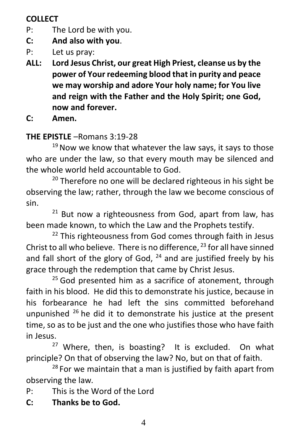# **COLLECT**

- P: The Lord be with you.
- **C: And also with you**.
- P: Let us pray:
- **ALL: Lord Jesus Christ, our great High Priest, cleanse us by the power of Your redeeming blood that in purity and peace we may worship and adore Your holy name; for You live and reign with the Father and the Holy Spirit; one God, now and forever.**
- **C: Amen.**

# **THE EPISTLE** –Romans 3:19-28

 $19$  Now we know that whatever the law says, it says to those who are under the law, so that every mouth may be silenced and the whole world held accountable to God.

 $20$  Therefore no one will be declared righteous in his sight be observing the law; rather, through the law we become conscious of sin.

 $21$  But now a righteousness from God, apart from law, has been made known, to which the Law and the Prophets testify.

<sup>22</sup> This righteousness from God comes through faith in Jesus Christ to all who believe. There is no difference,  $^{23}$  for all have sinned and fall short of the glory of God,  $^{24}$  and are justified freely by his grace through the redemption that came by Christ Jesus.

 $25$  God presented him as a sacrifice of atonement, through faith in his blood. He did this to demonstrate his justice, because in his forbearance he had left the sins committed beforehand unpunished  $^{26}$  he did it to demonstrate his justice at the present time, so as to be just and the one who justifies those who have faith in Jesus.

 $27$  Where, then, is boasting? It is excluded. On what principle? On that of observing the law? No, but on that of faith.

 $28$  For we maintain that a man is justified by faith apart from observing the law*.*

P: This is the Word of the Lord

**C: Thanks be to God.**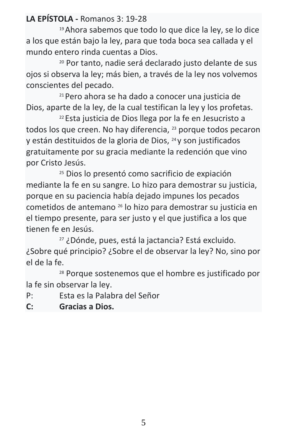**LA EPÍSTOLA -** Romanos 3: 19-28

<sup>19</sup>Ahora sabemos que todo lo que dice la ley, se lo dice a los que están bajo la ley, para que toda boca sea callada y el mundo entero rinda cuentas a Dios.

<sup>20</sup> Por tanto, nadie será declarado justo delante de sus ojos si observa la ley; más bien, a través de la ley nos volvemos conscientes del pecado.

<sup>21</sup>Pero ahora se ha dado a conocer una justicia de Dios, aparte de la ley, de la cual testifican la ley y los profetas.

<sup>22</sup>Esta justicia de Dios llega por la fe en Jesucristo a todos los que creen. No hay diferencia, <sup>23</sup> porque todos pecaron y están destituidos de la gloria de Dios, 24 y son justificados gratuitamente por su gracia mediante la redención que vino por Cristo Jesús.

<sup>25</sup> Dios lo presentó como sacrificio de expiación mediante la fe en su sangre. Lo hizo para demostrar su justicia, porque en su paciencia había dejado impunes los pecados cometidos de antemano <sup>26</sup> lo hizo para demostrar su justicia en el tiempo presente, para ser justo y el que justifica a los que tienen fe en Jesús.

<sup>27</sup> ¿Dónde, pues, está la jactancia? Está excluido. ¿Sobre qué principio? ¿Sobre el de observar la ley? No, sino por el de la fe.

<sup>28</sup> Porque sostenemos que el hombre es justificado por la fe sin observar la ley.

- P: Esta es la Palabra del Señor
- **C: Gracias a Dios.**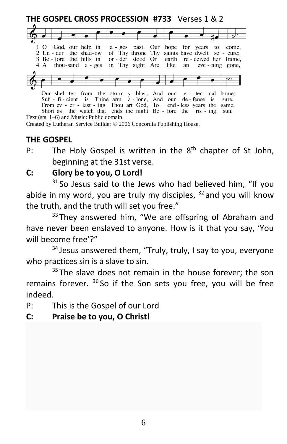

Created by Lutheran Service Builder © 2006 Concordia Publishing House.

#### **THE GOSPEL**

P: The Holy Gospel is written in the  $8<sup>th</sup>$  chapter of St John, beginning at the 31st verse.

## **C: Glory be to you, O Lord!**

 $31$  So Jesus said to the Jews who had believed him, "If you abide in my word, you are truly my disciples,  $32$  and you will know the truth, and the truth will set you free."

 $33$  They answered him, "We are offspring of Abraham and have never been enslaved to anyone. How is it that you say, 'You will become free'?"

 $34$  Jesus answered them, "Truly, truly, I say to you, everyone who practices sin is a slave to sin.

 $35$  The slave does not remain in the house forever; the son remains forever.  $36$  So if the Son sets you free, you will be free indeed.

- P: This is the Gospel of our Lord
- **C: Praise be to you, O Christ!**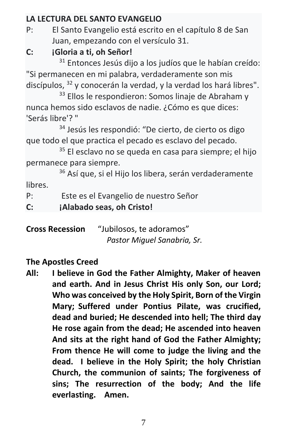# **LA LECTURA DEL SANTO EVANGELIO**

P: El Santo Evangelio está escrito en el capítulo 8 de San Juan, empezando con el versículo 31.

# **C: ¡Gloria a ti, oh Señor!**

<sup>31</sup> Entonces Jesús dijo a los judíos que le habían creído: "Si permanecen en mi palabra, verdaderamente son mis discípulos,  $32 \text{ y}$  conocerán la verdad, y la verdad los hará libres".

<sup>33</sup> Ellos le respondieron: Somos linaje de Abraham y nunca hemos sido esclavos de nadie. ¿Cómo es que dices: 'Serás libre'? "

<sup>34</sup> Jesús les respondió: "De cierto, de cierto os digo que todo el que practica el pecado es esclavo del pecado.

<sup>35</sup> El esclavo no se queda en casa para siempre; el hijo permanece para siempre.

<sup>36</sup> Así que, si el Hijo los libera, serán verdaderamente libres.

P: Este es el Evangelio de nuestro Señor

**C: ¡Alabado seas, oh Cristo!**

**Cross Recession** "Jubilosos, te adoramos" *Pastor Miguel Sanabria, Sr.*

# **The Apostles Creed**

**All: I believe in God the Father Almighty, Maker of heaven and earth. And in Jesus Christ His only Son, our Lord; Who was conceived by the Holy Spirit, Born of the Virgin Mary; Suffered under Pontius Pilate, was crucified, dead and buried; He descended into hell; The third day He rose again from the dead; He ascended into heaven And sits at the right hand of God the Father Almighty; From thence He will come to judge the living and the dead. I believe in the Holy Spirit; the holy Christian Church, the communion of saints; The forgiveness of sins; The resurrection of the body; And the life everlasting. Amen.**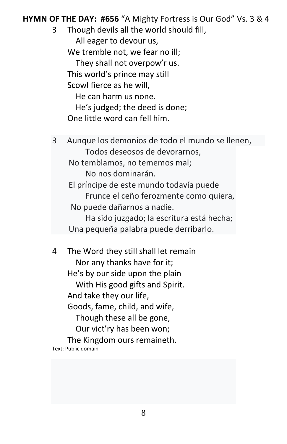**HYMN OF THE DAY: #656** "A Mighty Fortress is Our God" Vs. 3 & 4

3 Though devils all the world should fill, All eager to devour us, We tremble not, we fear no ill; They shall not overpow'r us. This world's prince may still Scowl fierce as he will, He can harm us none. He's judged; the deed is done; One little word can fell him.

3 Aunque los demonios de todo el mundo se llenen, Todos deseosos de devorarnos, No temblamos, no tememos mal; No nos dominarán. El príncipe de este mundo todavía puede Frunce el ceño ferozmente como quiera, No puede dañarnos a nadie.

Ha sido juzgado; la escritura está hecha; Una pequeña palabra puede derribarlo.

4 The Word they still shall let remain Nor any thanks have for it; He's by our side upon the plain With His good gifts and Spirit. And take they our life, Goods, fame, child, and wife, Though these all be gone, Our vict'ry has been won; The Kingdom ours remaineth. Text: Public domain

8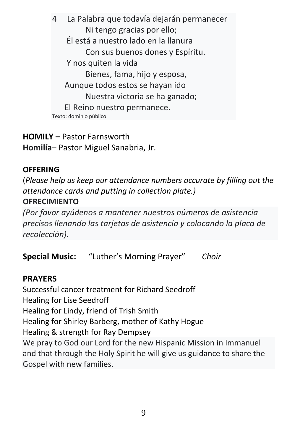4 La Palabra que todavía dejarán permanecer Ni tengo gracias por ello; Él está a nuestro lado en la llanura Con sus buenos dones y Espíritu. Y nos quiten la vida Bienes, fama, hijo y esposa, Aunque todos estos se hayan ido Nuestra victoria se ha ganado; El Reino nuestro permanece. Texto: dominio público

# **HOMILY –** Pastor Farnsworth **Homilía**– Pastor Miguel Sanabria, Jr.

## **OFFERING**

(*Please help us keep our attendance numbers accurate by filling out the attendance cards and putting in collection plate.)* **OFRECIMIENTO**

*(Por favor ayúdenos a mantener nuestros números de asistencia precisos llenando las tarjetas de asistencia y colocando la placa de recolección).*

**Special Music:** "Luther's Morning Prayer" *Choir*

## **PRAYERS**

Successful cancer treatment for Richard Seedroff Healing for Lise Seedroff Healing for Lindy, friend of Trish Smith Healing for Shirley Barberg, mother of Kathy Hogue Healing & strength for Ray Dempsey We pray to God our Lord for the new Hispanic Mission in Immanuel and that through the Holy Spirit he will give us guidance to share the Gospel with new families.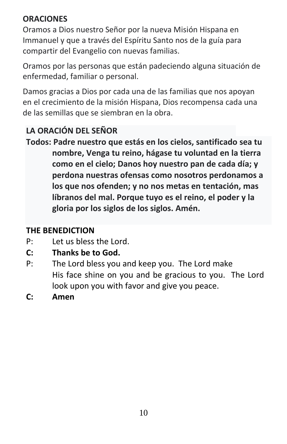# **ORACIONES**

Oramos a Dios nuestro Señor por la nueva Misión Hispana en Immanuel y que a través del Espíritu Santo nos de la guía para compartir del Evangelio con nuevas familias.

Oramos por las personas que están padeciendo alguna situación de enfermedad, familiar o personal.

Damos gracias a Dios por cada una de las familias que nos apoyan en el crecimiento de la misión Hispana, Dios recompensa cada una de las semillas que se siembran en la obra.

# **LA ORACIÓN DEL SEÑOR**

**Todos: Padre nuestro que estás en los cielos, santificado sea tu nombre, Venga tu reino, hágase tu voluntad en la tierra como en el cielo; Danos hoy nuestro pan de cada día; y perdona nuestras ofensas como nosotros perdonamos a los que nos ofenden; y no nos metas en tentación, mas líbranos del mal. Porque tuyo es el reino, el poder y la gloria por los siglos de los siglos. Amén.**

# **THE BENEDICTION**

- P: Let us bless the Lord.
- **C: Thanks be to God.**
- P: The Lord bless you and keep you. The Lord make His face shine on you and be gracious to you. The Lord look upon you with favor and give you peace.
- **C: Amen**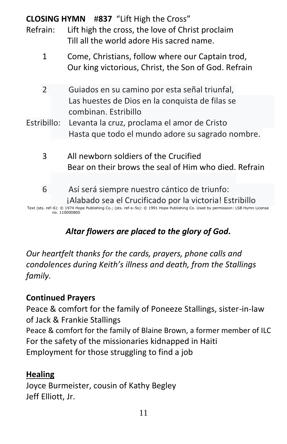# **CLOSING HYMN** #**837** "Lift High the Cross"

- Refrain: Lift high the cross, the love of Christ proclaim Till all the world adore His sacred name.
	- 1 Come, Christians, follow where our Captain trod, Our king victorious, Christ, the Son of God. Refrain
	- 2 Guiados en su camino por esta señal triunfal, Las huestes de Dios en la conquista de filas se combinan. Estribillo
- Estribillo: Levanta la cruz, proclama el amor de Cristo Hasta que todo el mundo adore su sagrado nombre.
	- 3 All newborn soldiers of the Crucified Bear on their brows the seal of Him who died. Refrain
	- 6 Así será siempre nuestro cántico de triunfo: ¡Alabado sea el Crucificado por la victoria! Estribillo

Text (sts. ref–6): © 1974 Hope Publishing Co.; (sts. ref-s–5s): © 1991 Hope Publishing Co. Used by permission: LSB Hymn License no. 110000800

# *Altar flowers are placed to the glory of God.*

*Our heartfelt thanks for the cards, prayers, phone calls and condolences during Keith's illness and death, from the Stallings family.*

# **Continued Prayers**

Peace & comfort for the family of Poneeze Stallings, sister-in-law of Jack & Frankie Stallings Peace & comfort for the family of Blaine Brown, a former member of ILC For the safety of the missionaries kidnapped in Haiti Employment for those struggling to find a job

# **Healing**

Joyce Burmeister, cousin of Kathy Begley Jeff Elliott, Jr.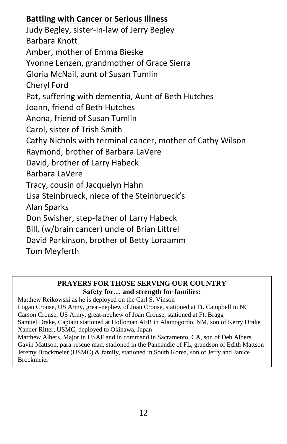# **Battling with Cancer or Serious Illness**

Judy Begley, sister-in-law of Jerry Begley Barbara Knott Amber, mother of Emma Bieske Yvonne Lenzen, grandmother of Grace Sierra Gloria McNail, aunt of Susan Tumlin Cheryl Ford Pat, suffering with dementia, Aunt of Beth Hutches Joann, friend of Beth Hutches Anona, friend of Susan Tumlin Carol, sister of Trish Smith Cathy Nichols with terminal cancer, mother of Cathy Wilson Raymond, brother of Barbara LaVere David, brother of Larry Habeck Barbara LaVere Tracy, cousin of Jacquelyn Hahn Lisa Steinbrueck, niece of the Steinbrueck's Alan Sparks Don Swisher, step-father of Larry Habeck Bill, (w/brain cancer) uncle of Brian Littrel David Parkinson, brother of Betty Loraamm Tom Meyferth

#### **PRAYERS FOR THOSE SERVING OUR COUNTRY Safety for… and strength for families:**

Matthew Reikowski as he is deployed on the Carl S. Vinson Logan Crouse, US Army, great-nephew of Joan Crouse, stationed at Ft. Campbell in NC Carson Crouse, US Army, great-nephew of Joan Crouse, stationed at Ft. Bragg Samuel Drake, Captain stationed at Holloman AFB in Alamogordo, NM, son of Kerry Drake Xander Ritter, USMC, deployed to Okinawa, Japan Matthew Albers, Major in USAF and in command in Sacramento, CA, son of Deb Albers Gavin Mattson, para-rescue man, stationed in the Panhandle of FL, grandson of Edith Mattson Jeremy Brockmeier (USMC) & family, stationed in South Korea, son of Jerry and Janice Brockmeier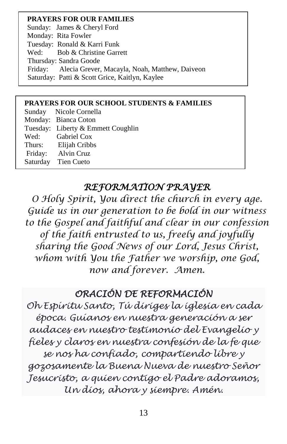#### **PRAYERS FOR OUR FAMILIES**

Sunday: James & Cheryl Ford Monday: Rita Fowler Tuesday: Ronald & Karri Funk Wed: Bob & Christine Garrett Thursday: Sandra Goode Friday: Alecia Grever, Macayla, Noah, Matthew, Daiveon Saturday: Patti & Scott Grice, Kaitlyn, Kaylee

#### **PRAYERS FOR OUR SCHOOL STUDENTS & FAMILIES**

Sunday Nicole Cornella Monday: Bianca Coton Tuesday: Liberty & Emmett Coughlin Wed: Gabriel Cox Thurs: Elijah Cribbs Friday: Alvin Cruz Saturday Tien Cueto

# *REFORMATION PRAYER*

*O Holy Spirit, You direct the church in every age. Guide us in our generation to be bold in our witness to the Gospel and faithful and clear in our confession of the faith entrusted to us, freely and joyfully sharing the Good News of our Lord, Jesus Christ, whom with You the Father we worship, one God, now and forever. Amen.*

# *ORACIÓN DE REFORMACIÓN*

*Oh Espíritu Santo, Tú diriges la iglesia en cada época. Guíanos en nuestra generación a ser audaces en nuestro testimonio del Evangelio y fieles y claros en nuestra confesión de la fe que se nos ha confiado, compartiendo libre y gozosamente la Buena Nueva de nuestro Señor Jesucristo, a quien contigo el Padre adoramos, Un dios, ahora y siempre. Amén.*